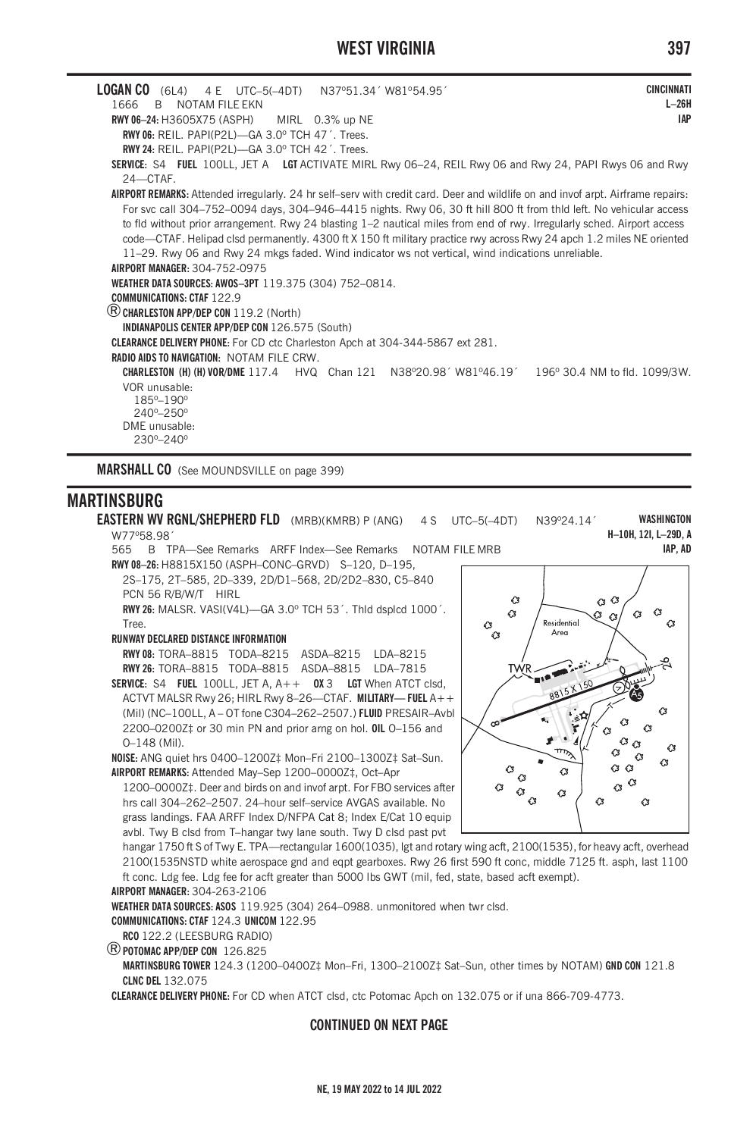# **WEST VIRGINIA 397**

| LOGAN CO (6L4) 4 E UTC-5(-4DT) N37º51.34'W81º54.95'<br><b>CINCINNATI</b><br>1666<br>NOTAM FILE FKN<br>R.<br>RWY 06-24: H3605X75 (ASPH) MIRL 0.3% up NE | $L-26H$<br><b>IAP</b> |
|--------------------------------------------------------------------------------------------------------------------------------------------------------|-----------------------|
| RWY 06: REIL. PAPI(P2L)-GA 3.0° TCH 47'. Trees.                                                                                                        |                       |
| RWY 24: REIL. PAPI(P2L)-GA 3.0° TCH 42'. Trees.                                                                                                        |                       |
| SERVICE: S4 FUEL 100LL, JET A LGT ACTIVATE MIRL Rwy 06–24, REIL Rwy 06 and Rwy 24, PAPI Rwys 06 and Rwy<br>24-CTAF.                                    |                       |
|                                                                                                                                                        |                       |
| AIRPORT REMARKS: Attended irregularly. 24 hr self-serv with credit card. Deer and wildlife on and invof arpt. Airframe repairs:                        |                       |
| For svc call 304-752-0094 days, 304-946-4415 nights. Rwy 06, 30 ft hill 800 ft from thld left. No vehicular access                                     |                       |
| to fld without prior arrangement. Rwy 24 blasting 1–2 nautical miles from end of rwy. Irregularly sched. Airport access                                |                       |
| code—CTAF. Helipad clsd permanently. 4300 ft X 150 ft military practice rwy across Rwy 24 apch 1.2 miles NE oriented                                   |                       |
| 11–29. Rwy 06 and Rwy 24 mkgs faded. Wind indicator ws not vertical, wind indications unreliable.                                                      |                       |
| AIRPORT MANAGER 304-752-0975                                                                                                                           |                       |
| WEATHER DATA SOURCES: AWOS-3PT 119.375 (304) 752-0814.                                                                                                 |                       |
| <b>COMMUNICATIONS: CTAF 122.9</b>                                                                                                                      |                       |
| (R) CHARLESTON APP/DEP CON 119.2 (North)                                                                                                               |                       |
| INDIANAPOLIS CENTER APP/DEP CON 126.575 (South)                                                                                                        |                       |
| CLEARANCE DELIVERY PHONE: For CD ctc Charleston Apch at 304-344-5867 ext 281.                                                                          |                       |
| <b>RADIO AIDS TO NAVIGATION: NOTAM FILE CRW.</b>                                                                                                       |                       |
| <b>CHARLESTON (H) (H) VOR/DME</b> 117.4 HVQ Chan 121 N38°20.98' W81°46.19' 196° 30.4 NM to fld. 1099/3W.                                               |                       |
| VOR unusable:<br>185°-190°<br>$240^{\circ} - 250^{\circ}$<br>DMF unusable:<br>230°-240°                                                                |                       |

**MARSHALL CO** (See MOUNDSVILLE on page 399)

## **MARTINSBURG**

**EASTERN WV RGNL/SHEPHERD FLD** (MRB)(KMRB) P (ANG) 4 S UTC-5(-4DT) N39°24.14<sup>'</sup> W77º58.98´ **WASHINGTON H–10H, 12I, L–29D, A IAP, AD**

565 B TPA—See Remarks ARFF Index—See Remarks NOTAM FILE MRB **RWY 08–26:** H8815X150 (ASPH–CONC–GRVD) S–120, D–195,

- 2S–175, 2T–585, 2D–339, 2D/D1–568, 2D/2D2–830, C5–840 PCN 56 R/B/W/T HIRL
- **RWY 26:** MALSR. VASI(V4L)—GA 3.0º TCH 53´. Thld dsplcd 1000´. Tree.

#### **RUNWAY DECLARED DISTANCE INFORMATION**

**RWY 08:** TORA–8815 TODA–8215 ASDA–8215 LDA–8215 **RWY 26:** TORA–8815 TODA–8815 ASDA–8815 LDA–7815

**SERVICE:** S4 **FUEL** 100LL, JET A, A++ **OX** 3 **LGT** When ATCT clsd, ACTVT MALSR Rwy 26; HIRL Rwy 8–26—CTAF. **MILITARY— FUEL** A++ (Mil) (NC–100LL, A – OT fone C304–262–2507.) **FLUID** PRESAIR–Avbl 2200–0200Z‡ or 30 min PN and prior arng on hol. **OIL** O–156 and O–148 (Mil).

**NOISE:** ANG quiet hrs 0400–1200Z‡ Mon–Fri 2100–1300Z‡ Sat–Sun. **AIRPORT REMARKS:** Attended May–Sep 1200–0000Z‡, Oct–Apr

1200–0000Z‡. Deer and birds on and invof arpt. For FBO services after hrs call 304–262–2507. 24–hour self–service AVGAS available. No grass landings. FAA ARFF Index D/NFPA Cat 8; Index E/Cat 10 equip avbl. Twy B clsd from T–hangar twy lane south. Twy D clsd past pvt

 $\alpha$   $\alpha$  $\circ$  $\sqrt{3}$ G  $\hat{c}$ Ø  $\overline{c}$ Residential  $\alpha$ € ່ຜ Areo **TWR** IIS<sub>T</sub>  $\alpha$ Ő  $\sim$ k м  $\alpha$ ر<br>سم  $\alpha$ Ω  $\sqrt{3}$  $\circ$  $C<sub>3</sub>$   $C<sub>3</sub>$  $\hat{a}$  $\hat{c}$  $\alpha$  $\mathcal{C}$  $\alpha$  $\bigtriangleup$  $\mathcal{C}$  $\alpha$  $\alpha$  $\alpha$  $\circ$ 

hangar 1750 ft S of Twy E. TPA—rectangular 1600(1035), lgt and rotary wing acft, 2100(1535), for heavy acft, overhead 2100(1535NSTD white aerospace gnd and eqpt gearboxes. Rwy 26 first 590 ft conc, middle 7125 ft. asph, last 1100 ft conc. Ldg fee. Ldg fee for acft greater than 5000 lbs GWT (mil, fed, state, based acft exempt).

**AIRPORT MANAGER:** 304-263-2106

**WEATHER DATA SOURCES: ASOS** 119.925 (304) 264–0988. unmonitored when twr clsd. **COMMUNICATIONS: CTAF** 124.3 **UNICOM** 122.95 **RCO** 122.2 (LEESBURG RADIO)

®**POTOMAC APP/DEP CON** 126.825

**MARTINSBURG TOWER** 124.3 (1200–0400Z‡ Mon–Fri, 1300–2100Z‡ Sat–Sun, other times by NOTAM) **GND CON** 121.8 **CLNC DEL** 132.075

**CLEARANCE DELIVERY PHONE:** For CD when ATCT clsd, ctc Potomac Apch on 132.075 or if una 866-709-4773.

### **CONTINUED ON NEXT PAGE**